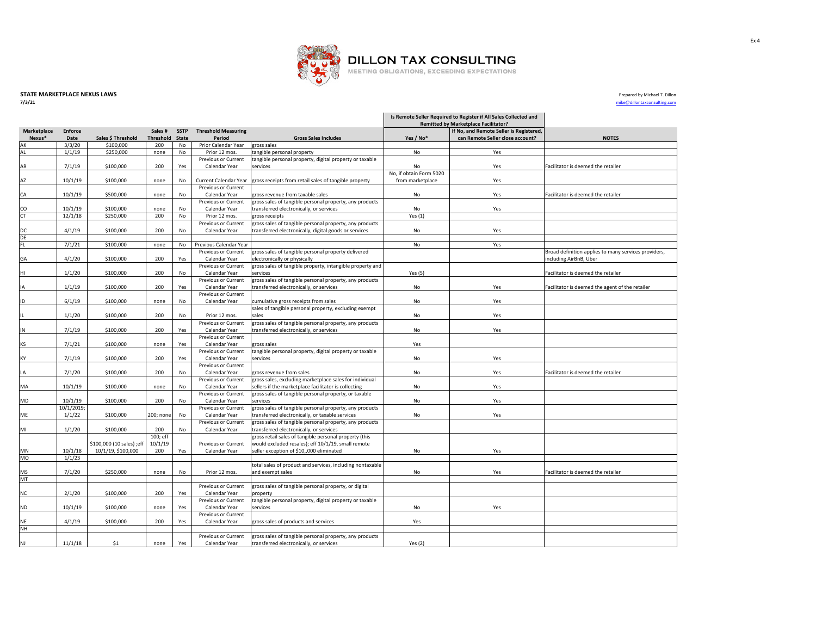

## **STATE MARKETPLACE NEXUS LAWS** Prepared by Michael T. Dillon<br>**7/3/21**<br>**1/3/21**

**7/3/21** mike@dillontaxconsulting.com

|             |                |                           |                  |              |                                      |                                                                                                                  | Is Remote Seller Required to Register if All Sales Collected and<br><b>Remitted by Marketplace Facilitator?</b> |                                         |                                                      |  |
|-------------|----------------|---------------------------|------------------|--------------|--------------------------------------|------------------------------------------------------------------------------------------------------------------|-----------------------------------------------------------------------------------------------------------------|-----------------------------------------|------------------------------------------------------|--|
| Marketplace | <b>Enforce</b> |                           | Sales#           | <b>SSTP</b>  | <b>Threshold Measuring</b>           |                                                                                                                  |                                                                                                                 | If No, and Remote Seller is Registered, |                                                      |  |
| Nexus*      | Date           | Sales \$ Threshold        | <b>Threshold</b> | <b>State</b> | Period                               | <b>Gross Sales Includes</b>                                                                                      | Yes / No*                                                                                                       | can Remote Seller close account?        | <b>NOTES</b>                                         |  |
| АK          | 3/3/20         | \$100,000                 | 200              | No           | Prior Calendar Year                  | gross sales                                                                                                      |                                                                                                                 |                                         |                                                      |  |
| AL          | 1/1/19         | \$250,000                 | none             | No           | Prior 12 mos.<br>Previous or Current | tangible personal property<br>tangible personal property, digital property or taxable                            | No                                                                                                              | Yes                                     |                                                      |  |
| AR          | 7/1/19         | \$100,000                 | 200              | Yes          | Calendar Year                        | services                                                                                                         | No                                                                                                              | Yes                                     | Facilitator is deemed the retailer                   |  |
|             |                |                           |                  |              |                                      |                                                                                                                  | No, if obtain Form 5020                                                                                         |                                         |                                                      |  |
| AZ          | 10/1/19        | \$100,000                 | none             | No           | Current Calendar Year                | gross receipts from retail sales of tangible property                                                            | from marketplace                                                                                                | Yes                                     |                                                      |  |
|             |                |                           |                  |              | Previous or Current                  |                                                                                                                  |                                                                                                                 |                                         |                                                      |  |
| CA          | 10/1/19        | \$500,000                 | none             | No           | Calendar Year                        | gross revenue from taxable sales                                                                                 | No                                                                                                              | Yes                                     | Facilitator is deemed the retailer                   |  |
|             |                |                           |                  |              | Previous or Current                  | gross sales of tangible personal property, any products                                                          |                                                                                                                 |                                         |                                                      |  |
| CO          | 10/1/19        | \$100,000                 | none             | No           | Calendar Year                        | transferred electronically, or services                                                                          | No                                                                                                              | Yes                                     |                                                      |  |
| CT          | 12/1/18        | \$250,000                 | 200              | No           | Prior 12 mos.                        | gross receipts                                                                                                   | Yes $(1)$                                                                                                       |                                         |                                                      |  |
| DC          | 4/1/19         | \$100,000                 | 200              | No           | Previous or Current<br>Calendar Year | gross sales of tangible personal property, any products<br>transferred electronically, digital goods or services | No                                                                                                              | Yes                                     |                                                      |  |
| DE          |                |                           |                  |              |                                      |                                                                                                                  |                                                                                                                 |                                         |                                                      |  |
| FL          | 7/1/21         | \$100,000                 | none             | No           | Previous Calendar Year               |                                                                                                                  | No                                                                                                              | Yes                                     |                                                      |  |
|             |                |                           |                  |              | Previous or Current                  | gross sales of tangible personal property delivered                                                              |                                                                                                                 |                                         | Broad definition applies to many services providers, |  |
| GA          | 4/1/20         | \$100,000                 | 200              | Yes          | Calendar Year                        | electronically or physically                                                                                     |                                                                                                                 |                                         | including AirBnB, Uber                               |  |
|             |                |                           |                  |              | Previous or Current                  | gross sales of tangible property, intangible property and                                                        |                                                                                                                 |                                         |                                                      |  |
| HI          | 1/1/20         | \$100,000                 | 200              | No           | Calendar Year                        | services                                                                                                         | Yes $(5)$                                                                                                       |                                         | Facilitator is deemed the retailer                   |  |
|             |                |                           |                  |              | Previous or Current                  | gross sales of tangible personal property, any products                                                          |                                                                                                                 |                                         |                                                      |  |
| IA          | 1/1/19         | \$100,000                 | 200              | Yes          | Calendar Year<br>Previous or Current | transferred electronically, or services                                                                          | No                                                                                                              | Yes                                     | Facilitator is deemed the agent of the retailer      |  |
| ID          | 6/1/19         | \$100,000                 | none             | No           | Calendar Year                        | cumulative gross receipts from sales                                                                             | No                                                                                                              | Yes                                     |                                                      |  |
|             |                |                           |                  |              |                                      | sales of tangible personal property, excluding exempt                                                            |                                                                                                                 |                                         |                                                      |  |
|             | 1/1/20         | \$100,000                 | 200              | No           | Prior 12 mos.                        | sales                                                                                                            | No                                                                                                              | Yes                                     |                                                      |  |
|             |                |                           |                  |              | Previous or Current                  | gross sales of tangible personal property, any products                                                          |                                                                                                                 |                                         |                                                      |  |
| IN          | 7/1/19         | \$100,000                 | 200              | Yes          | Calendar Year                        | transferred electronically, or services                                                                          | No                                                                                                              | Yes                                     |                                                      |  |
|             |                |                           |                  |              | Previous or Current                  |                                                                                                                  |                                                                                                                 |                                         |                                                      |  |
| ΚS          | 7/1/21         | \$100,000                 | none             | Yes          | Calendar Year                        | gross sales                                                                                                      | Yes                                                                                                             |                                         |                                                      |  |
|             |                |                           |                  |              | Previous or Current                  | tangible personal property, digital property or taxable                                                          |                                                                                                                 |                                         |                                                      |  |
| KY          | 7/1/19         | \$100,000                 | 200              | Yes          | Calendar Year<br>Previous or Current | services                                                                                                         | No                                                                                                              | Yes                                     |                                                      |  |
| LA          | 7/1/20         | \$100,000                 | 200              | No           | Calendar Year                        | gross revenue from sales                                                                                         | No                                                                                                              | Yes                                     | Facilitator is deemed the retailer                   |  |
|             |                |                           |                  |              | Previous or Current                  | gross sales, excluding marketplace sales for individual                                                          |                                                                                                                 |                                         |                                                      |  |
| MA          | 10/1/19        | \$100,000                 | none             | No           | Calendar Year                        | sellers if the marketplace facilitator is collecting                                                             | No                                                                                                              | Yes                                     |                                                      |  |
|             |                |                           |                  |              | Previous or Current                  | gross sales of tangible personal property, or taxable                                                            |                                                                                                                 |                                         |                                                      |  |
| MD          | 10/1/19        | \$100,000                 | 200              | No           | Calendar Year                        | services                                                                                                         | No                                                                                                              | Yes                                     |                                                      |  |
|             | 10/1/2019;     |                           |                  |              | Previous or Current                  | gross sales of tangible personal property, any products                                                          |                                                                                                                 |                                         |                                                      |  |
| ME          | 1/1/22         | \$100,000                 | 200; none        | No           | Calendar Year                        | transferred electronically, or taxable services                                                                  | No                                                                                                              | Yes                                     |                                                      |  |
| MI          | 1/1/20         | \$100,000                 | 200              | No           | Previous or Current<br>Calendar Year | gross sales of tangible personal property, any products<br>transferred electronically, or services               |                                                                                                                 |                                         |                                                      |  |
|             |                |                           | 100; eff         |              |                                      | gross retail sales of tangible personal property (this                                                           |                                                                                                                 |                                         |                                                      |  |
|             |                | \$100,000 (10 sales) ;eff | 10/1/19          |              | Previous or Current                  | would excluded resales); eff 10/1/19, small remote                                                               |                                                                                                                 |                                         |                                                      |  |
| MN          | 10/1/18        | 10/1/19, \$100,000        | 200              | Yes          | Calendar Year                        | seller exception of \$10,,000 eliminated                                                                         | No                                                                                                              | Yes                                     |                                                      |  |
| MO          | 1/1/23         |                           |                  |              |                                      |                                                                                                                  |                                                                                                                 |                                         |                                                      |  |
|             |                |                           |                  |              |                                      | total sales of product and services, including nontaxable                                                        |                                                                                                                 |                                         |                                                      |  |
| MS          | 7/1/20         | \$250,000                 | none             | No           | Prior 12 mos.                        | and exempt sales                                                                                                 | No                                                                                                              | Yes                                     | Facilitator is deemed the retailer                   |  |
| MT          |                |                           |                  |              | Previous or Current                  |                                                                                                                  |                                                                                                                 |                                         |                                                      |  |
| ΝC          | 2/1/20         | \$100,000                 | 200              | Yes          | Calendar Year                        | gross sales of tangible personal property, or digital<br>property                                                |                                                                                                                 |                                         |                                                      |  |
|             |                |                           |                  |              | Previous or Current                  | tangible personal property, digital property or taxable                                                          |                                                                                                                 |                                         |                                                      |  |
| ND          | 10/1/19        | \$100,000                 | none             | Yes          | Calendar Year                        | services                                                                                                         | No                                                                                                              | Yes                                     |                                                      |  |
|             |                |                           |                  |              | Previous or Current                  |                                                                                                                  |                                                                                                                 |                                         |                                                      |  |
| ΝE          | 4/1/19         | \$100,000                 | 200              | Yes          | Calendar Year                        | gross sales of products and services                                                                             | Yes                                                                                                             |                                         |                                                      |  |
| NH          |                |                           |                  |              |                                      |                                                                                                                  |                                                                                                                 |                                         |                                                      |  |
| NJ          | 11/1/18        | \$1                       |                  |              | Previous or Current<br>Calendar Year | gross sales of tangible personal property, any products                                                          | Yes $(2)$                                                                                                       |                                         |                                                      |  |
|             |                |                           | none             | Yes          |                                      | transferred electronically, or services                                                                          |                                                                                                                 |                                         |                                                      |  |